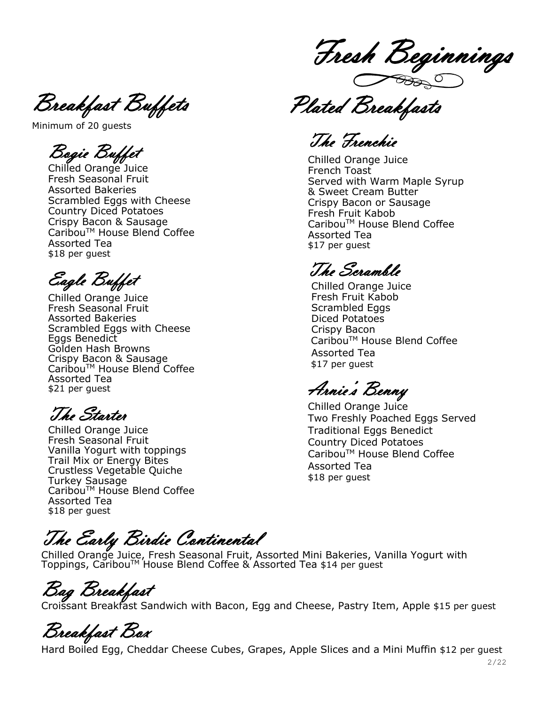Breakfast Buffets

Minimum of 20 guests

Bogie Buffet

Chilled Orange Juice Fresh Seasonal Fruit Assorted Bakeries Scrambled Eggs with Cheese Country Diced Potatoes Crispy Bacon & Sausage Caribou™ House Blend Coffee Assorted Tea \$18 per guest

Eagle Buffet

Chilled Orange Juice Fresh Seasonal Fruit Assorted Bakeries Scrambled Eggs with Cheese Eggs Benedict Golden Hash Browns Crispy Bacon & Sausage Caribou™ House Blend Coffee Assorted Tea \$21 per guest

The Starter

Chilled Orange Juice Fresh Seasonal Fruit Vanilla Yogurt with toppings Trail Mix or Energy Bites Crustless Vegetable Quiche Turkey Sausage Caribou™ House Blend Coffee Assorted Tea \$18 per guest

Fresh Beginnings

Plated Breakfasts

The Frenchie

Chilled Orange Juice French Toast Served with Warm Maple Syrup & Sweet Cream Butter Crispy Bacon or Sausage Fresh Fruit Kabob Caribou™ House Blend Coffee Assorted Tea \$17 per guest

The Scramble

Chilled Orange Juice Fresh Fruit Kabob Scrambled Eggs Diced Potatoes Crispy Bacon Caribou<sup>™</sup> House Blend Coffee Assorted Tea \$17 per guest

Arnie's Benny

Chilled Orange Juice Two Freshly Poached Eggs Served Traditional Eggs Benedict Country Diced Potatoes Caribou™ House Blend Coffee Assorted Tea \$18 per guest

The Early Birdie Continental

Chilled Orange Juice, Fresh Seasonal Fruit, Assorted Mini Bakeries, Vanilla Yogurt with Toppings, Caribou™ House Blend Coffee & Assorted Tea \$14 per guest

Bag Breakfast

Croissant Breakfast Sandwich with Bacon, Egg and Cheese, Pastry Item, Apple \$15 per guest

Breakfast Box

Hard Boiled Egg, Cheddar Cheese Cubes, Grapes, Apple Slices and a Mini Muffin \$12 per guest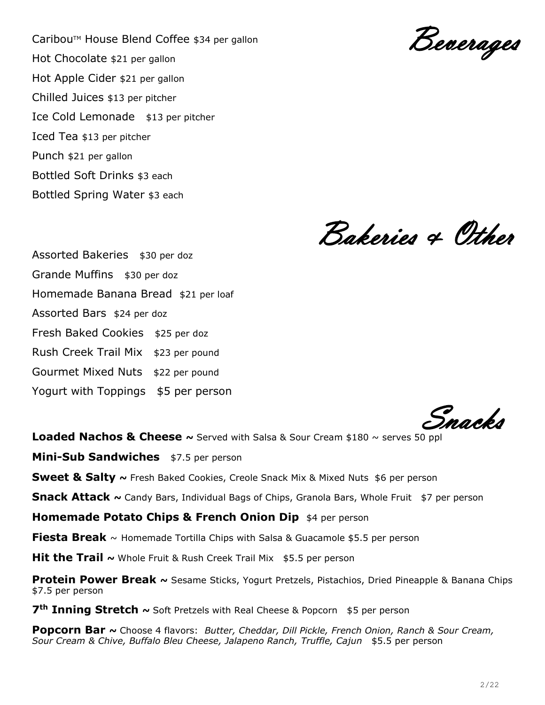Caribou™ House Blend Coffee \$34 per gallon Hot Chocolate \$21 per gallon Hot Apple Cider \$21 per gallon Chilled Juices \$13 per pitcher Ice Cold Lemonade \$13 per pitcher Iced Tea \$13 per pitcher Punch \$21 per gallon Bottled Soft Drinks \$3 each Bottled Spring Water \$3 each

Beverages

Bakeries & Other

Assorted Bakeries \$30 per doz Grande Muffins \$30 per doz Homemade Banana Bread \$21 per loaf Assorted Bars \$24 per doz Fresh Baked Cookies \$25 per doz Rush Creek Trail Mix \$23 per pound Gourmet Mixed Nuts \$22 per pound Yogurt with Toppings \$5 per person

Snacks

**Loaded Nachos & Cheese ~** Served with Salsa & Sour Cream \$180 ~ serves 50 ppl

**Mini-Sub Sandwiches** \$7.5 per person

**Sweet & Salty ~** Fresh Baked Cookies, Creole Snack Mix & Mixed Nuts \$6 per person

**Snack Attack ~** Candy Bars, Individual Bags of Chips, Granola Bars, Whole Fruit \$7 per person

**Homemade Potato Chips & French Onion Dip** \$4 per person

**Fiesta Break** ~ Homemade Tortilla Chips with Salsa & Guacamole \$5.5 per person

**Hit the Trail ~** Whole Fruit & Rush Creek Trail Mix \$5.5 per person

**Protein Power Break ~** Sesame Sticks, Yogurt Pretzels, Pistachios, Dried Pineapple & Banana Chips \$7.5 per person

**7th Inning Stretch ~** Soft Pretzels with Real Cheese & Popcorn \$5 per person

**Popcorn Bar ~** Choose 4 flavors: *Butter, Cheddar, Dill Pickle, French Onion, Ranch & Sour Cream, Sour Cream & Chive, Buffalo Bleu Cheese, Jalapeno Ranch, Truffle, Cajun* \$5.5 per person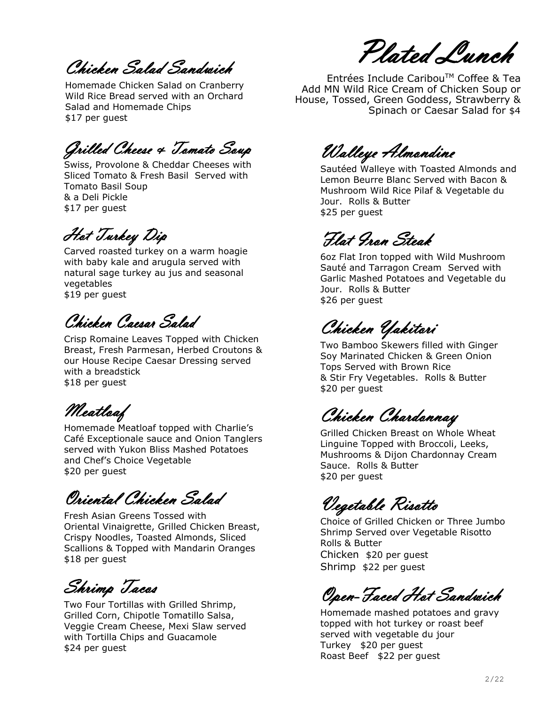Chicken Salad Sandwich

 \$17 per guestHomemade Chicken Salad on Cranberry Wild Rice Bread served with an Orchard Salad and Homemade Chips

Grilled Cheese & Tomato Soup

Swiss, Provolone & Cheddar Cheeses with Sliced Tomato & Fresh Basil Served with Tomato Basil Soup & a Deli Pickle \$17 per guest

Hot Turkey Dip

Carved roasted turkey on a warm hoagie with baby kale and arugula served with natural sage turkey au jus and seasonal vegetables \$19 per guest

Chicken Caesar Salad

Crisp Romaine Leaves Topped with Chicken Breast, Fresh Parmesan, Herbed Croutons & our House Recipe Caesar Dressing served with a breadstick \$18 per guest

Meatloaf

Homemade Meatloaf topped with Charlie's Café Exceptionale sauce and Onion Tanglers served with Yukon Bliss Mashed Potatoes and Chef's Choice Vegetable \$20 per guest

Oriental Chicken Salad

Fresh Asian Greens Tossed with Oriental Vinaigrette, Grilled Chicken Breast, Crispy Noodles, Toasted Almonds, Sliced Scallions & Topped with Mandarin Oranges \$18 per guest

Shrimp Tacos

Two Four Tortillas with Grilled Shrimp, Grilled Corn, Chipotle Tomatillo Salsa, Veggie Cream Cheese, Mexi Slaw served with Tortilla Chips and Guacamole \$24 per guest

Plated Lunch

 Entrées Include CaribouTM Coffee & Tea Add MN Wild Rice Cream of Chicken Soup or House, Tossed, Green Goddess, Strawberry & Spinach or Caesar Salad for \$4

Walleye Almondine

Sautéed Walleye with Toasted Almonds and Lemon Beurre Blanc Served with Bacon & Mushroom Wild Rice Pilaf & Vegetable du Jour. Rolls & Butter \$25 per guest

Flat Iron Steak

6oz Flat Iron topped with Wild Mushroom Sauté and Tarragon Cream Served with Garlic Mashed Potatoes and Vegetable du Jour. Rolls & Butter \$26 per guest

Chicken Yakitori

Two Bamboo Skewers filled with Ginger Soy Marinated Chicken & Green Onion Tops Served with Brown Rice & Stir Fry Vegetables. Rolls & Butter \$20 per guest

Chicken Chardonnay

Grilled Chicken Breast on Whole Wheat Linguine Topped with Broccoli, Leeks, Mushrooms & Dijon Chardonnay Cream Sauce. Rolls & Butter \$20 per guest

Vegetable Risotto

Choice of Grilled Chicken or Three Jumbo Shrimp Served over Vegetable Risotto Rolls & Butter Chicken \$20 per guest Shrimp \$22 per guest

Open-Faced Hot Sandwich

Homemade mashed potatoes and gravy topped with hot turkey or roast beef served with vegetable du jour Turkey \$20 per guest Roast Beef \$22 per guest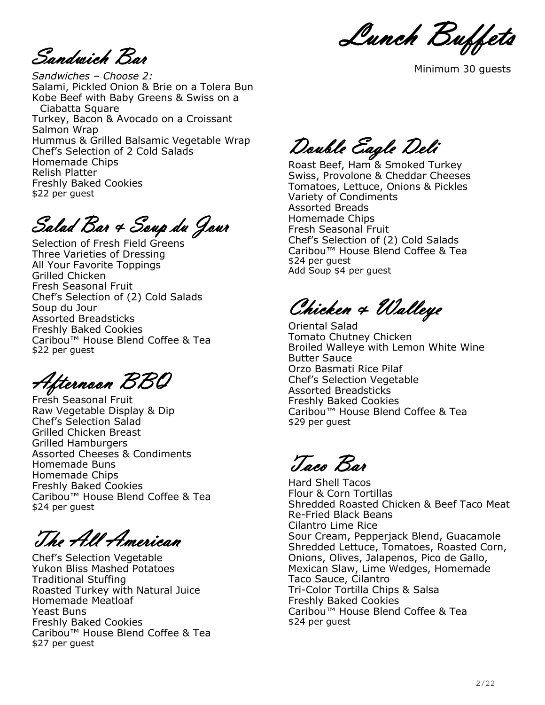Lunch Buffets

Sandwich Bar

*Sandwiches – Choose 2:* Salami, Pickled Onion & Brie on a Tolera Bun Kobe Beef with Baby Greens & Swiss on a Ciabatta Square Turkey, Bacon & Avocado on a Croissant Salmon Wrap Hummus & Grilled Balsamic Vegetable Wrap Chef's Selection of 2 Cold Salads Homemade Chips Relish Platter Freshly Baked Cookies \$22 per guest

Salad Bar & Soup du Jour

Selection of Fresh Field Greens Three Varieties of Dressing All Your Favorite Toppings Grilled Chicken Fresh Seasonal Fruit Chef's Selection of (2) Cold Salads Soup du Jour Assorted Breadsticks Freshly Baked Cookies Caribou™ House Blend Coffee & Tea \$22 per guest

Afternoon BBQ

Fresh Seasonal Fruit Raw Vegetable Display & Dip Chef's Selection Salad Grilled Chicken Breast Grilled Hamburgers Assorted Cheeses & Condiments Homemade Buns Homemade Chips Freshly Baked Cookies Caribou™ House Blend Coffee & Tea \$24 per guest

The All American

Chef's Selection Vegetable Yukon Bliss Mashed Potatoes Traditional Stuffing Roasted Turkey with Natural Juice Homemade Meatloaf Yeast Buns Freshly Baked Cookies Caribou™ House Blend Coffee & Tea \$27 per guest

Minimum 30 guests Minimum 30 guests

Double Eagle Deli

Roast Beef, Ham & Smoked Turkey Swiss, Provolone & Cheddar Cheeses Tomatoes, Lettuce, Onions & Pickles Variety of Condiments Assorted Breads Homemade Chips Fresh Seasonal Fruit Chef's Selection of (2) Cold Salads Caribou™ House Blend Coffee & Tea \$24 per guest Add Soup \$4 per guest

Chicken & Walleye

Oriental Salad Tomato Chutney Chicken Broiled Walleye with Lemon White Wine Butter Sauce Orzo Basmati Rice Pilaf Chef's Selection Vegetable Assorted Breadsticks Freshly Baked Cookies Caribou™ House Blend Coffee & Tea \$29 per guest

Taco Bar

Hard Shell Tacos Flour & Corn Tortillas Shredded Roasted Chicken & Beef Taco Meat Re-Fried Black Beans Cilantro Lime Rice Sour Cream, Pepperjack Blend, Guacamole Shredded Lettuce, Tomatoes, Roasted Corn, Onions, Olives, Jalapenos, Pico de Gallo, Mexican Slaw, Lime Wedges, Homemade Taco Sauce, Cilantro Tri-Color Tortilla Chips & Salsa Freshly Baked Cookies Caribou™ House Blend Coffee & Tea \$24 per guest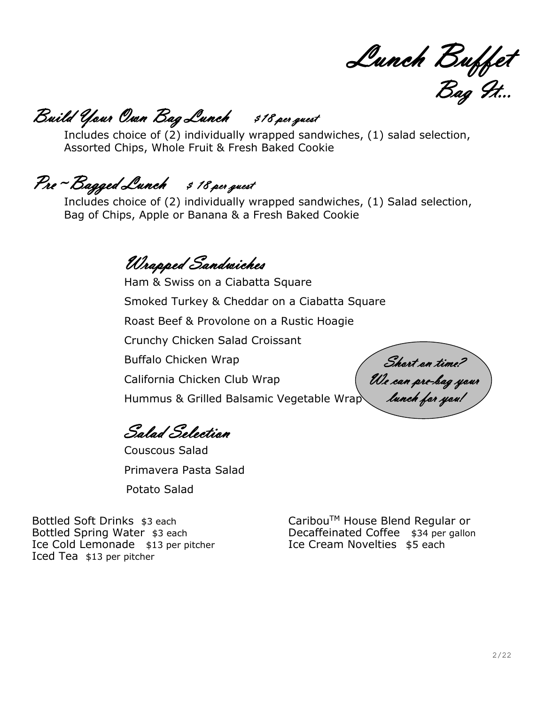Lunch Buffet Bag It…

# Build Your Own Bag Lunch \$18 per guest

Includes choice of (2) individually wrapped sandwiches, (1) salad selection, Assorted Chips, Whole Fruit & Fresh Baked Cookie

# Pre ~ Bagged Lunch \$ 18 per guest

Includes choice of (2) individually wrapped sandwiches, (1) Salad selection, Bag of Chips, Apple or Banana & a Fresh Baked Cookie

Wrapped Sandwiches

Ham & Swiss on a Ciabatta Square Smoked Turkey & Cheddar on a Ciabatta Square Roast Beef & Provolone on a Rustic Hoagie Crunchy Chicken Salad Croissant Buffalo Chicken Wrap California Chicken Club Wrap Hummus & Grilled Balsamic Vegetable Wrap

Salad Selection

Couscous Salad Primavera Pasta Salad Potato Salad

Short on time? We can pre-bag your lunch for you!

Bottled Soft Drinks \$3 each Bottled Spring Water \$3 each Ice Cold Lemonade \$13 per pitcher Iced Tea \$13 per pitcher

CaribouTM House Blend Regular or Decaffeinated Coffee \$34 per gallon Ice Cream Novelties \$5 each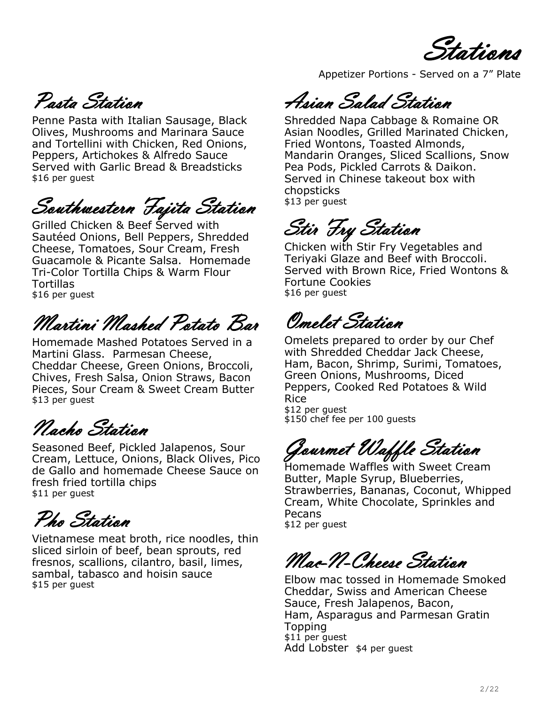Stations

Pasta Station

Penne Pasta with Italian Sausage, Black Olives, Mushrooms and Marinara Sauce and Tortellini with Chicken, Red Onions, Peppers, Artichokes & Alfredo Sauce Served with Garlic Bread & Breadsticks \$16 per guest

Southwestern Fajita Station

Grilled Chicken & Beef Served with Sautéed Onions, Bell Peppers, Shredded Cheese, Tomatoes, Sour Cream, Fresh Guacamole & Picante Salsa. Homemade Tri-Color Tortilla Chips & Warm Flour **Tortillas** \$16 per guest

Martini Mashed Potato Bar

Homemade Mashed Potatoes Served in a Martini Glass. Parmesan Cheese, Cheddar Cheese, Green Onions, Broccoli, Chives, Fresh Salsa, Onion Straws, Bacon Pieces, Sour Cream & Sweet Cream Butter \$13 per guest

Nacho Station

Seasoned Beef, Pickled Jalapenos, Sour Cream, Lettuce, Onions, Black Olives, Pico de Gallo and homemade Cheese Sauce on fresh fried tortilla chips \$11 per guest

Pho Station

Vietnamese meat broth, rice noodles, thin sliced sirloin of beef, bean sprouts, red fresnos, scallions, cilantro, basil, limes, sambal, tabasco and hoisin sauce \$15 per guest

Appetizer Portions - Served on a 7" Plate

Asian Salad Station

Shredded Napa Cabbage & Romaine OR Asian Noodles, Grilled Marinated Chicken, Fried Wontons, Toasted Almonds, Mandarin Oranges, Sliced Scallions, Snow Pea Pods, Pickled Carrots & Daikon. Served in Chinese takeout box with chopsticks \$13 per guest

Stir Fry Station

Chicken with Stir Fry Vegetables and Teriyaki Glaze and Beef with Broccoli. Served with Brown Rice, Fried Wontons & Fortune Cookies \$16 per guest

Omelet Station

Omelets prepared to order by our Chef with Shredded Cheddar Jack Cheese, Ham, Bacon, Shrimp, Surimi, Tomatoes, Green Onions, Mushrooms, Diced Peppers, Cooked Red Potatoes & Wild Rice \$12 per guest

\$150 chef fee per 100 guests

Gourmet Waffle Station

Homemade Waffles with Sweet Cream Butter, Maple Syrup, Blueberries, Strawberries, Bananas, Coconut, Whipped Cream, White Chocolate, Sprinkles and Pecans \$12 per guest

Mac-N-Cheese Station

Elbow mac tossed in Homemade Smoked Cheddar, Swiss and American Cheese Sauce, Fresh Jalapenos, Bacon, Ham, Asparagus and Parmesan Gratin **Topping** \$11 per quest Add Lobster \$4 per guest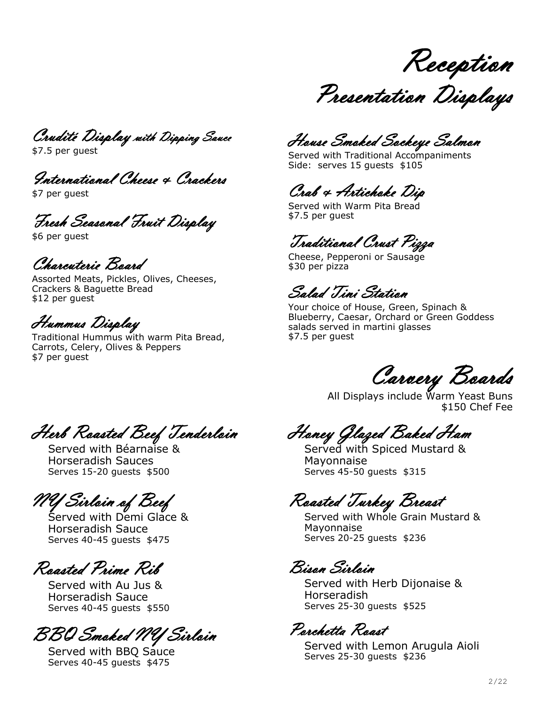Reception

Presentation Displays

Crudité Display with Dipping Sauce

\$7.5 per guest

International Cheese & Crackers

\$7 per guest

Fresh Seasonal Fruit Display

\$6 per guest

Charcuterie Board

Assorted Meats, Pickles, Olives, Cheeses, Crackers & Baguette Bread \$12 per guest

Hummus Display

Traditional Hummus with warm Pita Bread, Carrots, Celery, Olives & Peppers \$7 per guest

House Smoked Sockeye Salmon

Served with Traditional Accompaniments Side: serves 15 guests \$105

# Crab & Artichoke Dip

Served with Warm Pita Bread \$7.5 per guest

# Traditional Crust Pizza

Cheese, Pepperoni or Sausage \$30 per pizza

Salad Tini Station

Your choice of House, Green, Spinach & Blueberry, Caesar, Orchard or Green Goddess salads served in martini glasses \$7.5 per guest

Carvery Boards

All Displays include Warm Yeast Buns \$150 Chef Fee

Honey Glazed Baked Ham

Served with Spiced Mustard & Mayonnaise Serves 45-50 guests \$315

Roasted Turkey Breast

Served with Whole Grain Mustard & Mayonnaise Serves 20-25 guests \$236

Bison Sirloin

Served with Herb Dijonaise & Horseradish Serves 25-30 guests \$525

Porchetta Roast

Served with Lemon Arugula Aioli Serves 25-30 guests \$236

Herb Roasted Beef Tenderloin

Served with Béarnaise & Horseradish Sauces Serves 15-20 guests \$500

NY Sirloin of Beef

Served with Demi Glace & Horseradish Sauce Serves 40-45 guests \$475

Roasted Prime Rib

Served with Au Jus & Horseradish Sauce Serves 40-45 guests \$550

BBQ Smoked NY Sirloin

Served with BBQ Sauce Serves 40-45 guests \$475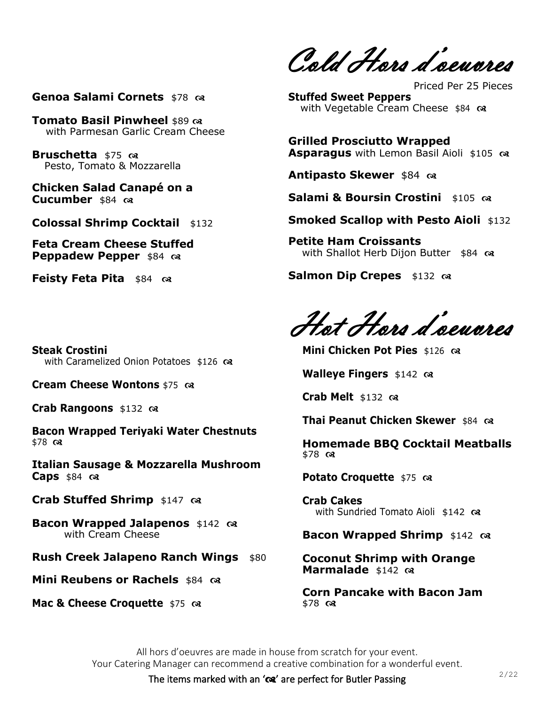**Genoa Salami Cornets** \$78  $\infty$ 

**Tomato Basil Pinwheel** \$89  $\infty$ with Parmesan Garlic Cream Cheese

**Bruschetta** \$75  $\infty$ Pesto, Tomato & Mozzarella

**Chicken Salad Canapé on a Cucumber** \$84

**Colossal Shrimp Cocktail** \$132

**Feta Cream Cheese Stuffed Peppadew Pepper** \$84  $\infty$ 

**Feisty Feta Pita** \$84  $\infty$ 

**Steak Crostini**  with Caramelized Onion Potatoes \$126  $\infty$ 

**Cream Cheese Wontons** \$75

**Crab Rangoons** \$132

**Bacon Wrapped Teriyaki Water Chestnuts**   $$78 \; \text{°}$ 

**Italian Sausage & Mozzarella Mushroom**   $C$ aps \$84  $\alpha$ 

**Crab Stuffed Shrimp** \$147

**Bacon Wrapped Jalapenos** \$142  $\infty$ with Cream Cheese

**Rush Creek Jalapeno Ranch Wings** \$80

**Mini Reubens or Rachels** \$84  $\alpha$ 

**Mac & Cheese Croquette** \$75  $\infty$ 

Cold Hors d'oeuvres

Priced Per 25 Pieces **Stuffed Sweet Peppers** with Vegetable Cream Cheese \$84

**Grilled Prosciutto Wrapped Asparagus** with Lemon Basil Aioli \$105  $\infty$ 

**Antipasto Skewer** \$84  $\infty$ 

**Salami & Boursin Crostini** \$105  $\alpha$ 

**Smoked Scallop with Pesto Aioli** \$132

**Petite Ham Croissants**  with Shallot Herb Dijon Butter \$84

**Salmon Dip Crepes** \$132  $\infty$ 

Hot Hors d'oeuvres

**Mini Chicken Pot Pies** \$126  $\alpha$ 

**Walleye Fingers** \$142  $\infty$ 

**Crab Melt** \$132

**Thai Peanut Chicken Skewer** \$84  $\infty$ 

**Homemade BBQ Cocktail Meatballs**   $$78 \; \text{°}$ 

**Potato Croquette** \$75  $\infty$ 

**Crab Cakes** with Sundried Tomato Aioli\$142

**Bacon Wrapped Shrimp** \$142

**Coconut Shrimp with Orange Marmalade** \$142

**Corn Pancake with Bacon Jam**  \$78  $\alpha$ 

All hors d'oeuvres are made in house from scratch for your event. Your Catering Manager can recommend a creative combination for a wonderful event.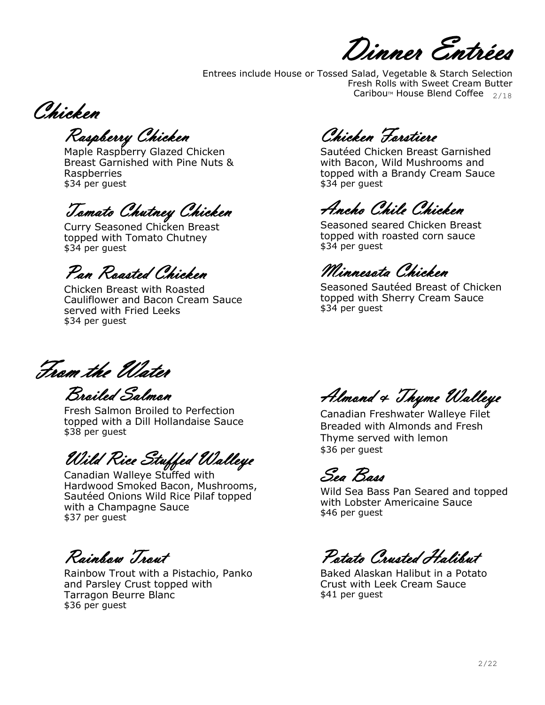Dinner Entrées

Entrees include House or Tossed Salad, Vegetable & Starch Selection Fresh Rolls with Sweet Cream Butter Cariboum House Blend Coffee  $_{2/18}$ 

Chicken

Raspberry Chicken

Maple Raspberry Glazed Chicken Breast Garnished with Pine Nuts & Raspberries \$34 per guest

# Tomato Chutney Chicken

Curry Seasoned Chicken Breast topped with Tomato Chutney \$34 per guest

Pan Roasted Chicken

Chicken Breast with Roasted Cauliflower and Bacon Cream Sauce served with Fried Leeks \$34 per guest

Chicken Forstiere

Sautéed Chicken Breast Garnished with Bacon, Wild Mushrooms and topped with a Brandy Cream Sauce \$34 per guest

Ancho Chile Chicken

Seasoned seared Chicken Breast topped with roasted corn sauce \$34 per guest

Minnesota Chicken

Seasoned Sautéed Breast of Chicken topped with Sherry Cream Sauce \$34 per guest

From the Water

Broiled Salmon Fresh Salmon Broiled to Perfection topped with a Dill Hollandaise Sauce \$38 per guest

Wild Rice Stuffed Walleye

Canadian Walleye Stuffed with Hardwood Smoked Bacon, Mushrooms, Sautéed Onions Wild Rice Pilaf topped with a Champagne Sauce \$37 per guest

Rainbow Trout

Rainbow Trout with a Pistachio, Panko and Parsley Crust topped with Tarragon Beurre Blanc \$36 per guest

Almond & Thyme Walleye

Canadian Freshwater Walleye Filet Breaded with Almonds and Fresh Thyme served with lemon \$36 per guest

Sea Bass

Wild Sea Bass Pan Seared and topped with Lobster Americaine Sauce \$46 per guest

Potato Crusted Halibut

Baked Alaskan Halibut in a Potato Crust with Leek Cream Sauce \$41 per guest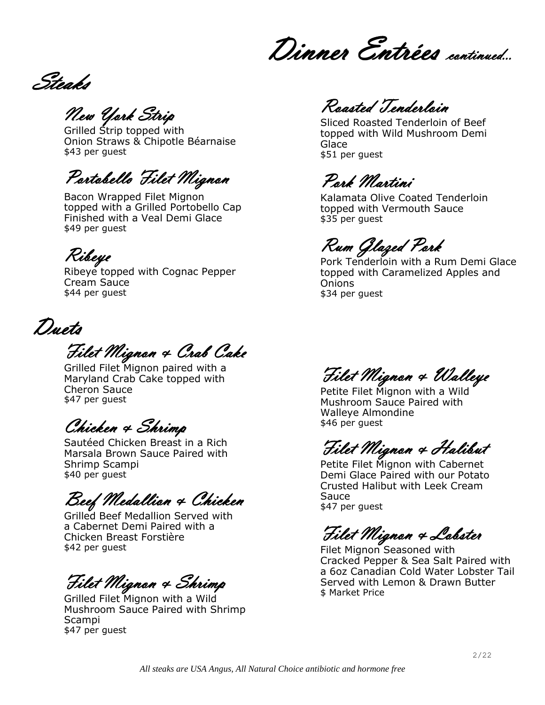Dinner Entrées continued…

Steaks

New York Strip

Grilled Strip topped with Onion Straws & Chipotle Béarnaise \$43 per guest

Portobello Filet Mignon

Bacon Wrapped Filet Mignon topped with a Grilled Portobello Cap Finished with a Veal Demi Glace \$49 per guest

Ribeye

Ribeye topped with Cognac Pepper Cream Sauce \$44 per guest

Duets

Filet Mignon & Crab Cake

Grilled Filet Mignon paired with a Maryland Crab Cake topped with Cheron Sauce \$47 per guest

Chicken & Shrimp

Sautéed Chicken Breast in a Rich Marsala Brown Sauce Paired with Shrimp Scampi \$40 per guest

Beef Medallion & Chicken

Grilled Beef Medallion Served with a Cabernet Demi Paired with a Chicken Breast Forstière \$42 per guest

Filet Mignon & Shrimp

Grilled Filet Mignon with a Wild Mushroom Sauce Paired with Shrimp Scampi \$47 per guest

Roasted Tenderloin

Sliced Roasted Tenderloin of Beef topped with Wild Mushroom Demi Glace \$51 per guest

Pork Martini

Kalamata Olive Coated Tenderloin topped with Vermouth Sauce \$35 per guest

Rum Glazed Pork

Pork Tenderloin with a Rum Demi Glace topped with Caramelized Apples and **Onions** \$34 per guest

Filet Mignon & Walleye

Petite Filet Mignon with a Wild Mushroom Sauce Paired with Walleye Almondine \$46 per guest

Filet Mignon & Halibut

Petite Filet Mignon with Cabernet Demi Glace Paired with our Potato Crusted Halibut with Leek Cream Sauce \$47 per guest

Filet Mignon & Lobster

Filet Mignon Seasoned with Cracked Pepper & Sea Salt Paired with a 6oz Canadian Cold Water Lobster Tail Served with Lemon & Drawn Butter \$ Market Price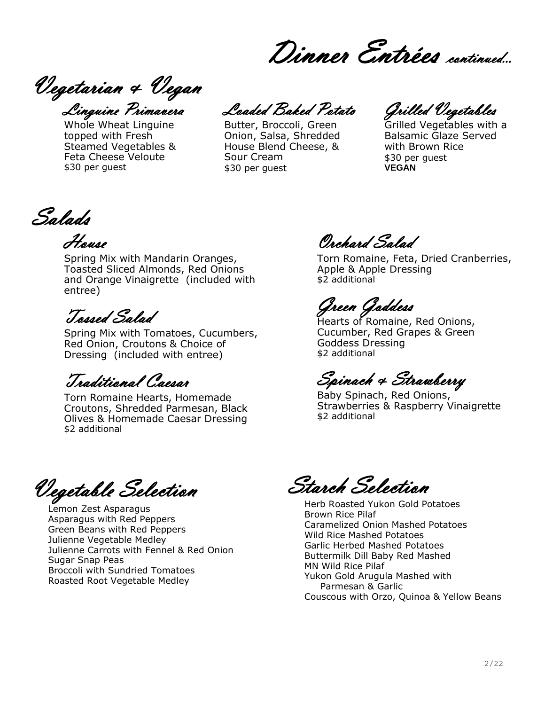Dinner Entrées continued...

Vegetarian & Vegan Linguine Primavera

Whole Wheat Linguine topped with Fresh Steamed Vegetables & Feta Cheese Veloute \$30 per guest

Loaded Baked Potato

Butter, Broccoli, Green Onion, Salsa, Shredded House Blend Cheese, & Sour Cream \$30 per guest

Grilled Vegetables

Grilled Vegetables with a Balsamic Glaze Served with Brown Rice \$30 per guest **VEGAN**

Salads

House

Spring Mix with Mandarin Oranges, Toasted Sliced Almonds, Red Onions and Orange Vinaigrette (included with entree)

Tossed Salad

Spring Mix with Tomatoes, Cucumbers, Red Onion, Croutons & Choice of Dressing (included with entree)

Traditional Caesar

Torn Romaine Hearts, Homemade Croutons, Shredded Parmesan, Black Olives & Homemade Caesar Dressing \$2 additional

Orchard Salad

Torn Romaine, Feta, Dried Cranberries, Apple & Apple Dressing \$2 additional

Green Goddess

Hearts of Romaine, Red Onions, Cucumber, Red Grapes & Green Goddess Dressing \$2 additional

Spinach & Strawberry

Baby Spinach, Red Onions, Strawberries & Raspberry Vinaigrette \$2 additional

Vegetable Selection

Lemon Zest Asparagus Asparagus with Red Peppers Green Beans with Red Peppers Julienne Vegetable Medley Julienne Carrots with Fennel & Red Onion Sugar Snap Peas Broccoli with Sundried Tomatoes Roasted Root Vegetable Medley

Starch Selection

Herb Roasted Yukon Gold Potatoes Brown Rice Pilaf Caramelized Onion Mashed Potatoes Wild Rice Mashed Potatoes Garlic Herbed Mashed Potatoes Buttermilk Dill Baby Red Mashed MN Wild Rice Pilaf Yukon Gold Arugula Mashed with Parmesan & Garlic Couscous with Orzo, Quinoa & Yellow Beans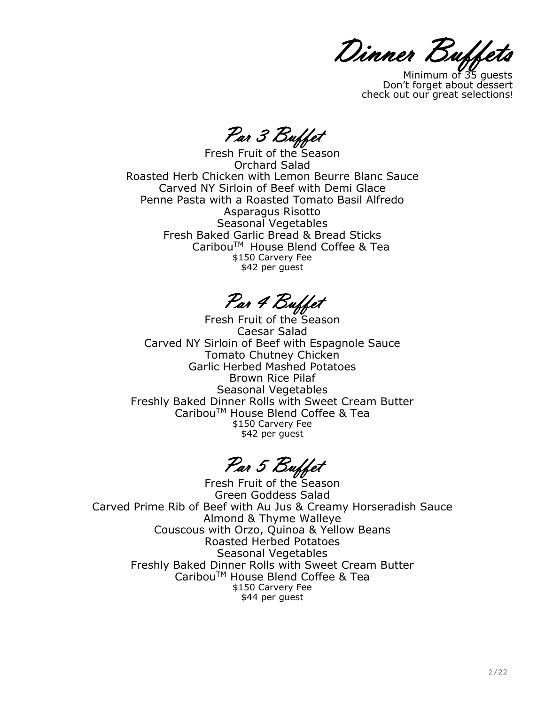Dinner Buffets

Minimum of 35 guests Don't forget about dessert check out our great selections!

Par 3 Buffet

Fresh Fruit of the Season Orchard Salad Roasted Herb Chicken with Lemon Beurre Blanc Sauce Carved NY Sirloin of Beef with Demi Glace Penne Pasta with a Roasted Tomato Basil Alfredo Asparagus Risotto Seasonal Vegetables Fresh Baked Garlic Bread & Bread Sticks CaribouTM House Blend Coffee & Tea \$150 Carvery Fee \$42 per guest

Par 4 Buffet

Fresh Fruit of the Season Caesar Salad Carved NY Sirloin of Beef with Espagnole Sauce Tomato Chutney Chicken Garlic Herbed Mashed Potatoes Brown Rice Pilaf Seasonal Vegetables Freshly Baked Dinner Rolls with Sweet Cream Butter CaribouTM House Blend Coffee & Tea \$150 Carvery Fee \$42 per quest

Par 5 Buffet

Fresh Fruit of the Season Green Goddess Salad Carved Prime Rib of Beef with Au Jus & Creamy Horseradish Sauce Almond & Thyme Walleye Couscous with Orzo, Quinoa & Yellow Beans Roasted Herbed Potatoes Seasonal Vegetables Freshly Baked Dinner Rolls with Sweet Cream Butter CaribouTM House Blend Coffee & Tea \$150 Carvery Fee \$44 per guest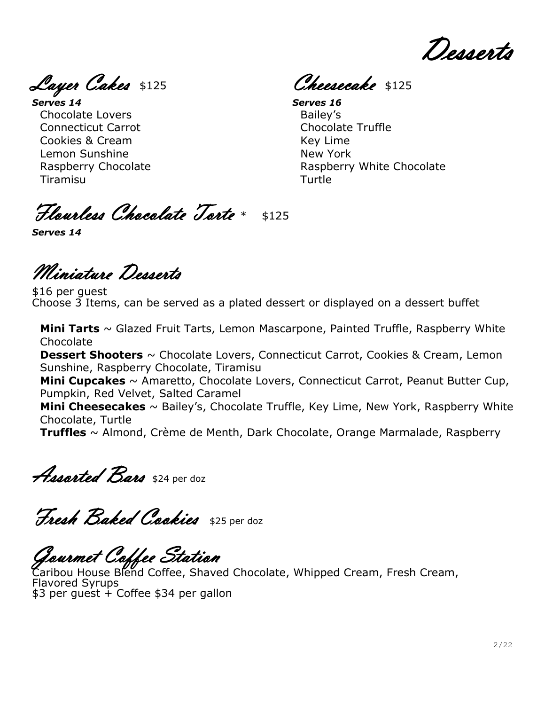Desserts

Layer Cakes \$125

*Serves 14* Chocolate Lovers Connecticut Carrot Cookies & Cream Lemon Sunshine Raspberry Chocolate Tiramisu

Cheesecake \$125

*Serves 16* Bailey's Chocolate Truffle Key Lime New York Raspberry White Chocolate Turtle

Flourless Chocolate Torte \* \$125

*Serves 14*

Miniature Desserts

\$16 per guest Choose 3 Items, can be served as a plated dessert or displayed on a dessert buffet

**Mini Tarts** ~ Glazed Fruit Tarts, Lemon Mascarpone, Painted Truffle, Raspberry White Chocolate

**Dessert Shooters** ~ Chocolate Lovers, Connecticut Carrot, Cookies & Cream, Lemon Sunshine, Raspberry Chocolate, Tiramisu

**Mini Cupcakes** ~ Amaretto, Chocolate Lovers, Connecticut Carrot, Peanut Butter Cup, Pumpkin, Red Velvet, Salted Caramel

**Mini Cheesecakes** ~ Bailey's, Chocolate Truffle, Key Lime, New York, Raspberry White Chocolate, Turtle

**Truffles** ~ Almond, Crème de Menth, Dark Chocolate, Orange Marmalade, Raspberry

**Assorted Bars** \$24 per doz

Fresh Baked Cookies \$25 per doz

Gourmet Coffee Station

Caribou House Blend Coffee, Shaved Chocolate, Whipped Cream, Fresh Cream, Flavored Syrups \$3 per guest + Coffee \$34 per gallon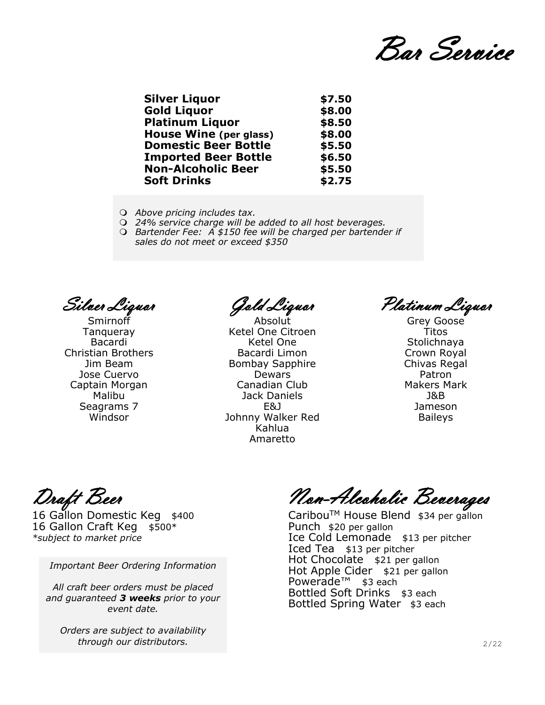Bar Service

| <b>Silver Liquor</b>          | \$7.50 |
|-------------------------------|--------|
| <b>Gold Liquor</b>            | \$8.00 |
| <b>Platinum Liquor</b>        | \$8.50 |
| <b>House Wine (per glass)</b> | \$8.00 |
| <b>Domestic Beer Bottle</b>   | \$5.50 |
| <b>Imported Beer Bottle</b>   | \$6.50 |
| <b>Non-Alcoholic Beer</b>     | \$5.50 |
| <b>Soft Drinks</b>            | \$2.75 |
|                               |        |

- *Above pricing includes tax.*
- *24% service charge will be added to all host beverages.*
- *Bartender Fee: A \$150 fee will be charged per bartender if sales do not meet or exceed \$350*

Silver Liquor

Smirnoff Tanqueray Bacardi Christian Brothers Jim Beam Jose Cuervo Captain Morgan Malibu Seagrams 7 Windsor

Gold Liquor

**Absolut** Ketel One Citroen Ketel One Bacardi Limon Bombay Sapphire Dewars Canadian Club Jack Daniels E&J Johnny Walker Red Kahlua Amaretto

Platinum Liquor

Grey Goose Titos Stolichnaya Crown Royal Chivas Regal Patron Makers Mark J&B Jameson Baileys

16 Gallon Craft Keg  $$500*$ 

*Important Beer Ordering Information*

*All craft beer orders must be placed and guaranteed 3 weeks prior to your event date.*

*Orders are subject to availability through our distributors.*

Draft Beer Non-Alcoholic Beverages

16 Gallon Domestic Keg \$400 CaribouTM House Blend \$34 per gallon *\*subject to market price* The *Ice Cold Lemonade* \$13 per pitcher Iced Tea \$13 per pitcher Hot Chocolate \$21 per gallon Hot Apple Cider \$21 per gallon Powerade™ \$3 each Bottled Soft Drinks \$3 each Bottled Spring Water \$3 each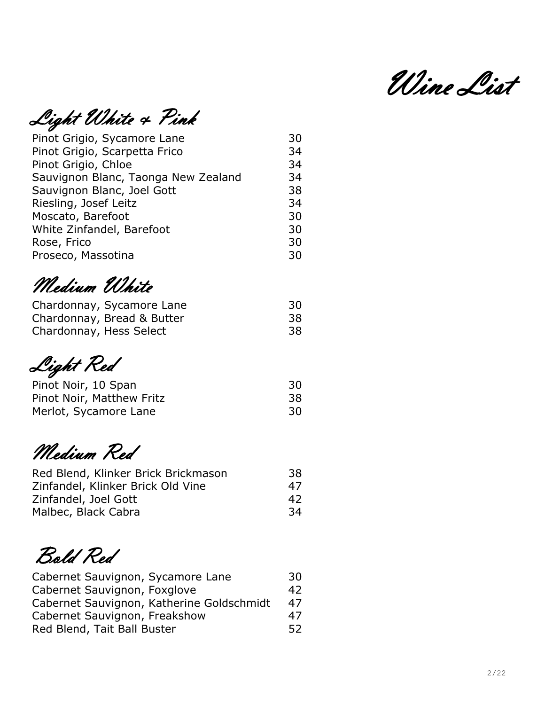Wine List

Light White & Pink

| Pinot Grigio, Sycamore Lane         | 30 |
|-------------------------------------|----|
| Pinot Grigio, Scarpetta Frico       | 34 |
| Pinot Grigio, Chloe                 | 34 |
| Sauvignon Blanc, Taonga New Zealand | 34 |
| Sauvignon Blanc, Joel Gott          | 38 |
| Riesling, Josef Leitz               | 34 |
| Moscato, Barefoot                   | 30 |
| White Zinfandel, Barefoot           | 30 |
| Rose, Frico                         | 30 |
| Proseco, Massotina                  | 30 |
|                                     |    |

Medium White

| Chardonnay, Sycamore Lane  | 30 |
|----------------------------|----|
| Chardonnay, Bread & Butter | 38 |
| Chardonnay, Hess Select    | 38 |

Light Red

| Pinot Noir, 10 Span       | 30 |
|---------------------------|----|
| Pinot Noir, Matthew Fritz | 38 |
| Merlot, Sycamore Lane     | 30 |

Medium Red

| Red Blend, Klinker Brick Brickmason | 38  |
|-------------------------------------|-----|
| Zinfandel, Klinker Brick Old Vine   | 47  |
| Zinfandel, Joel Gott                | 42  |
| Malbec, Black Cabra                 | -34 |

Bold Red

| Cabernet Sauvignon, Sycamore Lane         | 30  |
|-------------------------------------------|-----|
| Cabernet Sauvignon, Foxglove              | 42  |
| Cabernet Sauvignon, Katherine Goldschmidt | 47  |
| Cabernet Sauvignon, Freakshow             | 47  |
| Red Blend, Tait Ball Buster               | 52. |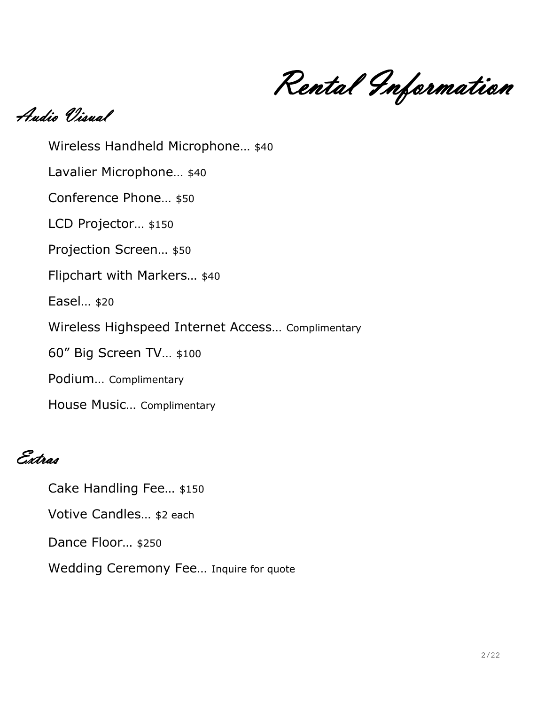Rental Information

Audio Visual

Wireless Handheld Microphone… \$40 Lavalier Microphone... \$40 Conference Phone… \$50 LCD Projector... \$150 Projection Screen… \$50 Flipchart with Markers… \$40 Easel… \$20 Wireless Highspeed Internet Access… Complimentary 60" Big Screen TV… \$100 Podium… Complimentary House Music… Complimentary

Extras

Cake Handling Fee… \$150

Votive Candles… \$2 each

Dance Floor… \$250

Wedding Ceremony Fee… Inquire for quote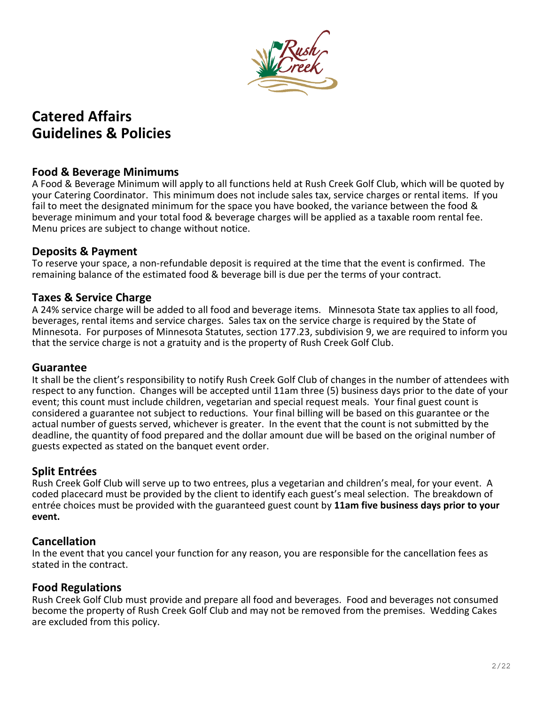

# **Catered Affairs Guidelines & Policies**

### **Food & Beverage Minimums**

A Food & Beverage Minimum will apply to all functions held at Rush Creek Golf Club, which will be quoted by your Catering Coordinator. This minimum does not include sales tax, service charges or rental items. If you fail to meet the designated minimum for the space you have booked, the variance between the food & beverage minimum and your total food & beverage charges will be applied as a taxable room rental fee. Menu prices are subject to change without notice.

#### **Deposits & Payment**

To reserve your space, a non-refundable deposit is required at the time that the event is confirmed. The remaining balance of the estimated food & beverage bill is due per the terms of your contract.

#### **Taxes & Service Charge**

A 24% service charge will be added to all food and beverage items. Minnesota State tax applies to all food, beverages, rental items and service charges. Sales tax on the service charge is required by the State of Minnesota. For purposes of Minnesota Statutes, section 177.23, subdivision 9, we are required to inform you that the service charge is not a gratuity and is the property of Rush Creek Golf Club.

#### **Guarantee**

It shall be the client's responsibility to notify Rush Creek Golf Club of changes in the number of attendees with respect to any function. Changes will be accepted until 11am three (5) business days prior to the date of your event; this count must include children, vegetarian and special request meals. Your final guest count is considered a guarantee not subject to reductions. Your final billing will be based on this guarantee or the actual number of guests served, whichever is greater. In the event that the count is not submitted by the deadline, the quantity of food prepared and the dollar amount due will be based on the original number of guests expected as stated on the banquet event order.

#### **Split Entrées**

Rush Creek Golf Club will serve up to two entrees, plus a vegetarian and children's meal, for your event. A coded placecard must be provided by the client to identify each guest's meal selection. The breakdown of entrée choices must be provided with the guaranteed guest count by **11am five business days prior to your event.** 

#### **Cancellation**

In the event that you cancel your function for any reason, you are responsible for the cancellation fees as stated in the contract.

#### **Food Regulations**

Rush Creek Golf Club must provide and prepare all food and beverages. Food and beverages not consumed become the property of Rush Creek Golf Club and may not be removed from the premises. Wedding Cakes are excluded from this policy.